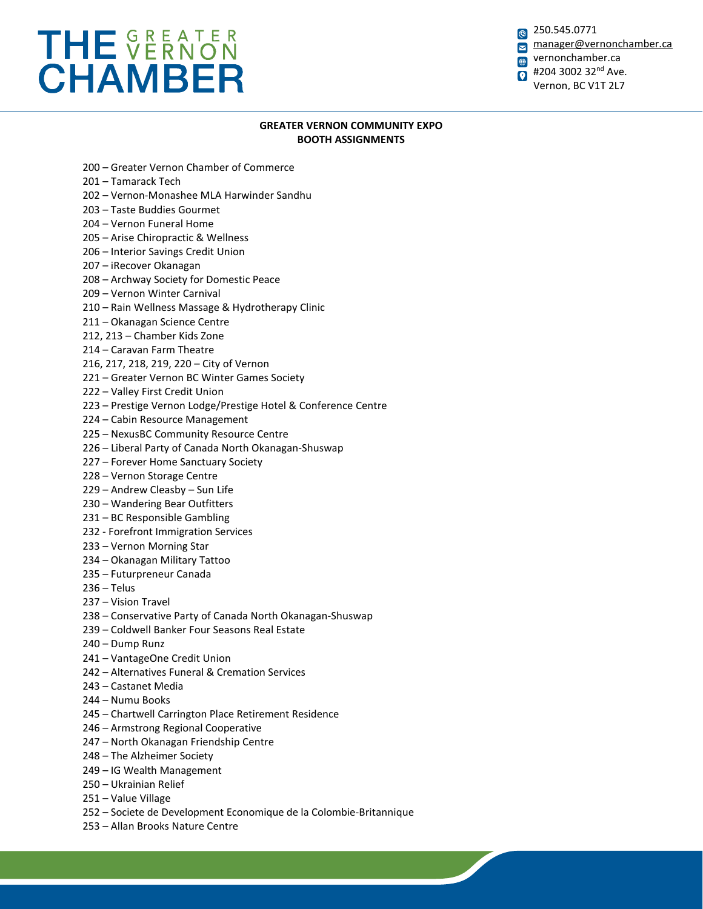## THE VERNON **CHAMBER**

250.545.0771 [manager@vernonchamber.ca](mailto:manager@vernonchamber.ca) vernonchamber.ca  $\bigoplus$ #204 3002 32<sup>nd</sup> Ave.  $\bullet$ Vernon, BC V1T 2L7

## **GREATER VERNON COMMUNITY EXPO BOOTH ASSIGNMENTS**

- 200 Greater Vernon Chamber of Commerce
- 201 Tamarack Tech
- 202 Vernon-Monashee MLA Harwinder Sandhu
- 203 Taste Buddies Gourmet
- 204 Vernon Funeral Home
- 205 Arise Chiropractic & Wellness
- 206 Interior Savings Credit Union
- 207 iRecover Okanagan
- 208 Archway Society for Domestic Peace
- 209 Vernon Winter Carnival
- 210 Rain Wellness Massage & Hydrotherapy Clinic
- 211 Okanagan Science Centre
- 212, 213 Chamber Kids Zone
- 214 Caravan Farm Theatre
- 216, 217, 218, 219, 220 City of Vernon
- 221 Greater Vernon BC Winter Games Society
- 222 Valley First Credit Union
- 223 Prestige Vernon Lodge/Prestige Hotel & Conference Centre
- 224 Cabin Resource Management
- 225 NexusBC Community Resource Centre
- 226 Liberal Party of Canada North Okanagan-Shuswap
- 227 Forever Home Sanctuary Society
- 228 Vernon Storage Centre
- 229 Andrew Cleasby Sun Life
- 230 Wandering Bear Outfitters
- 231 BC Responsible Gambling
- 232 Forefront Immigration Services
- 233 Vernon Morning Star
- 234 Okanagan Military Tattoo
- 235 Futurpreneur Canada
- 236 Telus
- 237 Vision Travel
- 238 Conservative Party of Canada North Okanagan-Shuswap
- 239 Coldwell Banker Four Seasons Real Estate
- 240 Dump Runz
- 241 VantageOne Credit Union
- 242 Alternatives Funeral & Cremation Services
- 243 Castanet Media
- 244 Numu Books
- 245 Chartwell Carrington Place Retirement Residence
- 246 Armstrong Regional Cooperative
- 247 North Okanagan Friendship Centre
- 248 The Alzheimer Society
- 249 IG Wealth Management
- 250 Ukrainian Relief
- 251 Value Village
- 252 Societe de Development Economique de la Colombie-Britannique
- 253 Allan Brooks Nature Centre